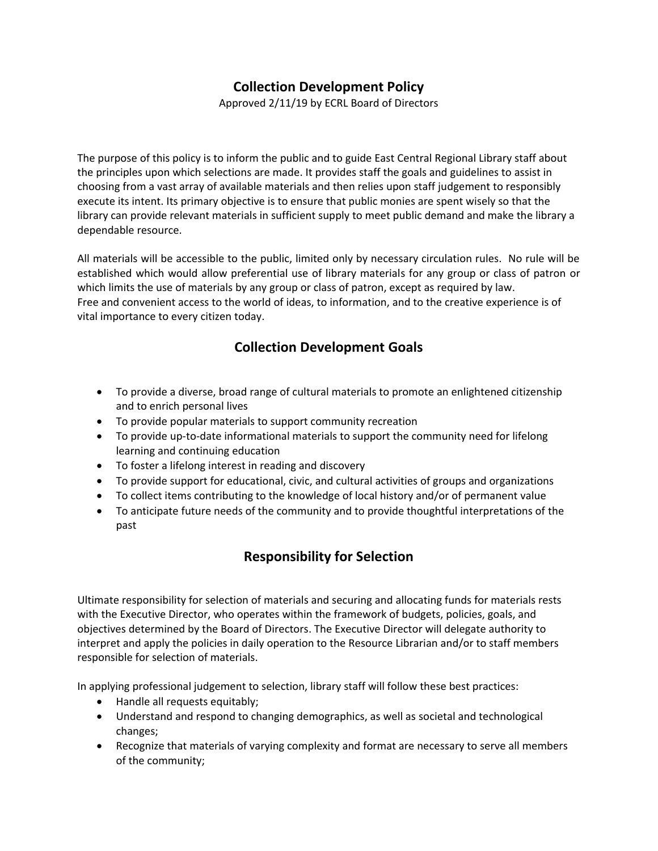# **Collection Development Policy**

Approved 2/11/19 by ECRL Board of Directors

The purpose of this policy is to inform the public and to guide East Central Regional Library staff about the principles upon which selections are made. It provides staff the goals and guidelines to assist in choosing from a vast array of available materials and then relies upon staff judgement to responsibly execute its intent. Its primary objective is to ensure that public monies are spent wisely so that the library can provide relevant materials in sufficient supply to meet public demand and make the library a dependable resource.

All materials will be accessible to the public, limited only by necessary circulation rules. No rule will be established which would allow preferential use of library materials for any group or class of patron or which limits the use of materials by any group or class of patron, except as required by law. Free and convenient access to the world of ideas, to information, and to the creative experience is of vital importance to every citizen today.

#### **Collection Development Goals**

- To provide a diverse, broad range of cultural materials to promote an enlightened citizenship and to enrich personal lives
- To provide popular materials to support community recreation
- To provide up-to-date informational materials to support the community need for lifelong learning and continuing education
- To foster a lifelong interest in reading and discovery
- To provide support for educational, civic, and cultural activities of groups and organizations
- To collect items contributing to the knowledge of local history and/or of permanent value
- To anticipate future needs of the community and to provide thoughtful interpretations of the past

### **Responsibility for Selection**

Ultimate responsibility for selection of materials and securing and allocating funds for materials rests with the Executive Director, who operates within the framework of budgets, policies, goals, and objectives determined by the Board of Directors. The Executive Director will delegate authority to interpret and apply the policies in daily operation to the Resource Librarian and/or to staff members responsible for selection of materials.

In applying professional judgement to selection, library staff will follow these best practices:

- Handle all requests equitably;
- Understand and respond to changing demographics, as well as societal and technological changes;
- Recognize that materials of varying complexity and format are necessary to serve all members of the community;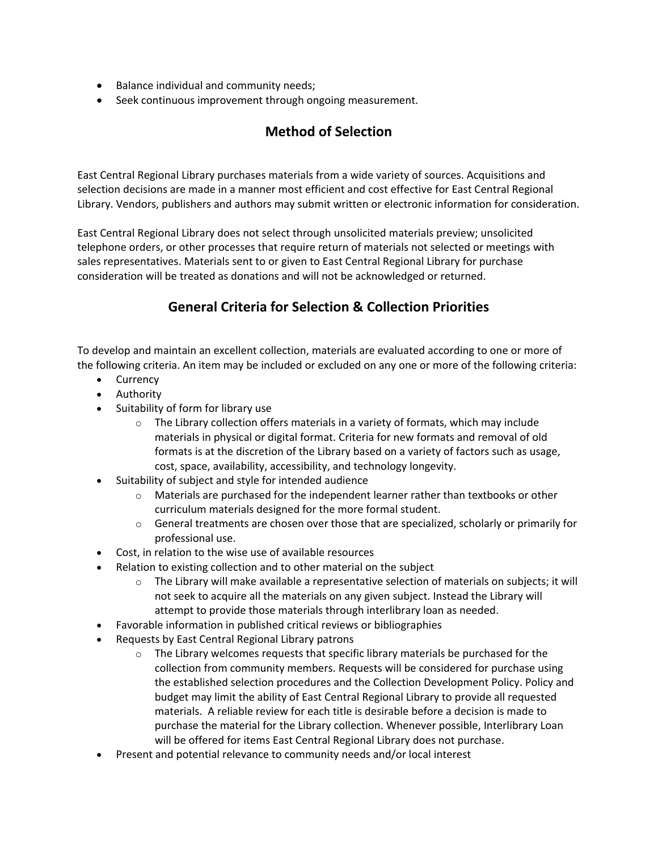- Balance individual and community needs;
- Seek continuous improvement through ongoing measurement.

## **Method of Selection**

East Central Regional Library purchases materials from a wide variety of sources. Acquisitions and selection decisions are made in a manner most efficient and cost effective for East Central Regional Library. Vendors, publishers and authors may submit written or electronic information for consideration.

East Central Regional Library does not select through unsolicited materials preview; unsolicited telephone orders, or other processes that require return of materials not selected or meetings with sales representatives. Materials sent to or given to East Central Regional Library for purchase consideration will be treated as donations and will not be acknowledged or returned.

# **General Criteria for Selection & Collection Priorities**

To develop and maintain an excellent collection, materials are evaluated according to one or more of the following criteria. An item may be included or excluded on any one or more of the following criteria:

- Currency
- Authority
- Suitability of form for library use
	- $\circ$  The Library collection offers materials in a variety of formats, which may include materials in physical or digital format. Criteria for new formats and removal of old formats is at the discretion of the Library based on a variety of factors such as usage, cost, space, availability, accessibility, and technology longevity.
- Suitability of subject and style for intended audience
	- $\circ$  Materials are purchased for the independent learner rather than textbooks or other curriculum materials designed for the more formal student.
	- $\circ$  General treatments are chosen over those that are specialized, scholarly or primarily for professional use.
- Cost, in relation to the wise use of available resources
- Relation to existing collection and to other material on the subject
	- $\circ$  The Library will make available a representative selection of materials on subjects; it will not seek to acquire all the materials on any given subject. Instead the Library will attempt to provide those materials through interlibrary loan as needed.
- Favorable information in published critical reviews or bibliographies
- Requests by East Central Regional Library patrons
	- $\circ$  The Library welcomes requests that specific library materials be purchased for the collection from community members. Requests will be considered for purchase using the established selection procedures and the Collection Development Policy. Policy and budget may limit the ability of East Central Regional Library to provide all requested materials. A reliable review for each title is desirable before a decision is made to purchase the material for the Library collection. Whenever possible, Interlibrary Loan will be offered for items East Central Regional Library does not purchase.
- Present and potential relevance to community needs and/or local interest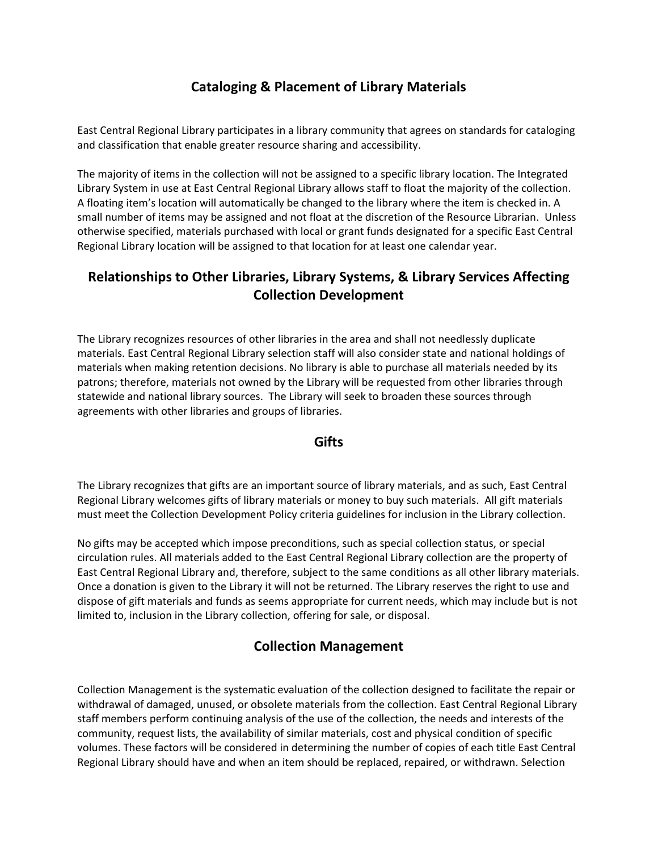## **Cataloging & Placement of Library Materials**

East Central Regional Library participates in a library community that agrees on standards for cataloging and classification that enable greater resource sharing and accessibility.

The majority of items in the collection will not be assigned to a specific library location. The Integrated Library System in use at East Central Regional Library allows staff to float the majority of the collection. A floating item's location will automatically be changed to the library where the item is checked in. A small number of items may be assigned and not float at the discretion of the Resource Librarian. Unless otherwise specified, materials purchased with local or grant funds designated for a specific East Central Regional Library location will be assigned to that location for at least one calendar year.

### **Relationships to Other Libraries, Library Systems, & Library Services Affecting Collection Development**

The Library recognizes resources of other libraries in the area and shall not needlessly duplicate materials. East Central Regional Library selection staff will also consider state and national holdings of materials when making retention decisions. No library is able to purchase all materials needed by its patrons; therefore, materials not owned by the Library will be requested from other libraries through statewide and national library sources. The Library will seek to broaden these sources through agreements with other libraries and groups of libraries.

#### **Gifts**

The Library recognizes that gifts are an important source of library materials, and as such, East Central Regional Library welcomes gifts of library materials or money to buy such materials. All gift materials must meet the Collection Development Policy criteria guidelines for inclusion in the Library collection.

No gifts may be accepted which impose preconditions, such as special collection status, or special circulation rules. All materials added to the East Central Regional Library collection are the property of East Central Regional Library and, therefore, subject to the same conditions as all other library materials. Once a donation is given to the Library it will not be returned. The Library reserves the right to use and dispose of gift materials and funds as seems appropriate for current needs, which may include but is not limited to, inclusion in the Library collection, offering for sale, or disposal.

### **Collection Management**

Collection Management is the systematic evaluation of the collection designed to facilitate the repair or withdrawal of damaged, unused, or obsolete materials from the collection. East Central Regional Library staff members perform continuing analysis of the use of the collection, the needs and interests of the community, request lists, the availability of similar materials, cost and physical condition of specific volumes. These factors will be considered in determining the number of copies of each title East Central Regional Library should have and when an item should be replaced, repaired, or withdrawn. Selection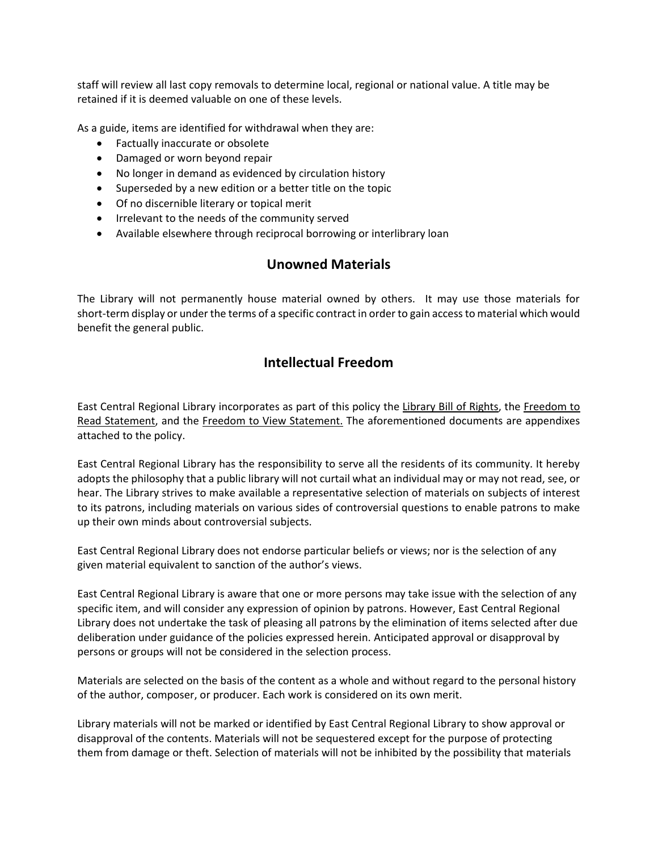staff will review all last copy removals to determine local, regional or national value. A title may be retained if it is deemed valuable on one of these levels.

As a guide, items are identified for withdrawal when they are:

- Factually inaccurate or obsolete
- Damaged or worn beyond repair
- No longer in demand as evidenced by circulation history
- Superseded by a new edition or a better title on the topic
- Of no discernible literary or topical merit
- Irrelevant to the needs of the community served
- Available elsewhere through reciprocal borrowing or interlibrary loan

### **Unowned Materials**

The Library will not permanently house material owned by others. It may use those materials for short-term display or under the terms of a specific contract in order to gain access to material which would benefit the general public.

#### **Intellectual Freedom**

East Central Regional Library incorporates as part of this policy the [Library Bill of Rights,](https://www.ala.org/advocacy/intfreedom/librarybill) the [Freedom to](https://www.ala.org/advocacy/intfreedom/freedomreadstatement)  [Read Statement,](https://www.ala.org/advocacy/intfreedom/freedomreadstatement) and the [Freedom to View Statement.](https://www.ala.org/advocacy/intfreedom/freedomviewstatement) The aforementioned documents are appendixes attached to the policy.

East Central Regional Library has the responsibility to serve all the residents of its community. It hereby adopts the philosophy that a public library will not curtail what an individual may or may not read, see, or hear. The Library strives to make available a representative selection of materials on subjects of interest to its patrons, including materials on various sides of controversial questions to enable patrons to make up their own minds about controversial subjects.

East Central Regional Library does not endorse particular beliefs or views; nor is the selection of any given material equivalent to sanction of the author's views.

East Central Regional Library is aware that one or more persons may take issue with the selection of any specific item, and will consider any expression of opinion by patrons. However, East Central Regional Library does not undertake the task of pleasing all patrons by the elimination of items selected after due deliberation under guidance of the policies expressed herein. Anticipated approval or disapproval by persons or groups will not be considered in the selection process.

Materials are selected on the basis of the content as a whole and without regard to the personal history of the author, composer, or producer. Each work is considered on its own merit.

Library materials will not be marked or identified by East Central Regional Library to show approval or disapproval of the contents. Materials will not be sequestered except for the purpose of protecting them from damage or theft. Selection of materials will not be inhibited by the possibility that materials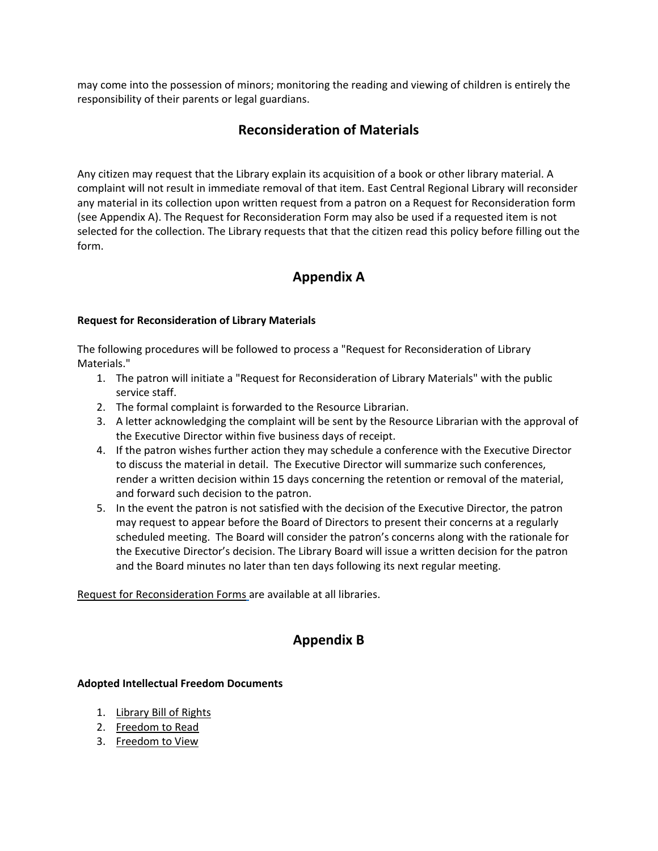may come into the possession of minors; monitoring the reading and viewing of children is entirely the responsibility of their parents or legal guardians.

#### **Reconsideration of Materials**

Any citizen may request that the Library explain its acquisition of a book or other library material. A complaint will not result in immediate removal of that item. East Central Regional Library will reconsider any material in its collection upon written request from a patron on a Request for Reconsideration form (see Appendix A). The Request for Reconsideration Form may also be used if a requested item is not selected for the collection. The Library requests that that the citizen read this policy before filling out the form.

### **Appendix A**

#### **Request for Reconsideration of Library Materials**

The following procedures will be followed to process a "Request for Reconsideration of Library Materials."

- 1. The patron will initiate a "Request for Reconsideration of Library Materials" with the public service staff.
- 2. The formal complaint is forwarded to the Resource Librarian.
- 3. A letter acknowledging the complaint will be sent by the Resource Librarian with the approval of the Executive Director within five business days of receipt.
- 4. If the patron wishes further action they may schedule a conference with the Executive Director to discuss the material in detail. The Executive Director will summarize such conferences, render a written decision within 15 days concerning the retention or removal of the material, and forward such decision to the patron.
- 5. In the event the patron is not satisfied with the decision of the Executive Director, the patron may request to appear before the Board of Directors to present their concerns at a regularly scheduled meeting. The Board will consider the patron's concerns along with the rationale for the Executive Director's decision. The Library Board will issue a written decision for the patron and the Board minutes no later than ten days following its next regular meeting.

[Request for Reconsideration Forms](https://ecrlib.org/wp-content/uploads/2022/03/Request-for-Reconsideration-of-Library-Material.pdf) are available at all libraries.

### **Appendix B**

#### **Adopted Intellectual Freedom Documents**

- 1. [Library Bill of Rights](https://www.ala.org/advocacy/intfreedom/librarybill)
- 2. [Freedom to Read](https://www.ala.org/advocacy/intfreedom/freedomreadstatement)
- 3. [Freedom to View](https://www.ala.org/advocacy/intfreedom/freedomviewstatement)